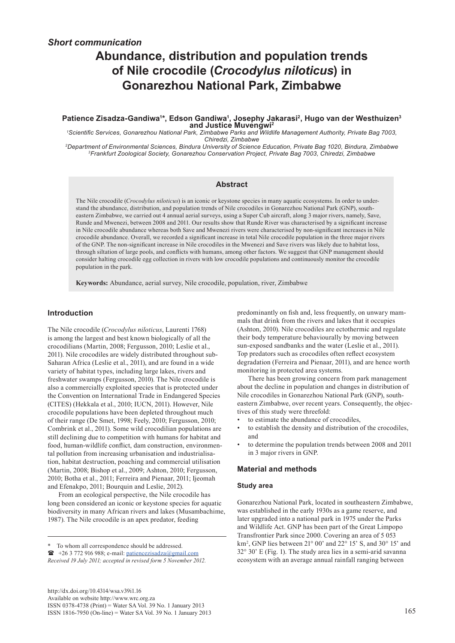# *Short communication*

# **Abundance, distribution and population trends of Nile crocodile (***Crocodylus niloticus***) in Gonarezhou National Park, Zimbabwe**

#### **Patience Zisadza-Gandiwa1 \*, Edson Gandiwa1 , Josephy Jakarasi2, Hugo van der Westhuizen3 and Justice Muvengwi2**

<sup>1</sup>Scientific Services, Gonarezhou National Park, Zimbabwe Parks and Wildlife Management Authority, Private Bag 7003, *Chiredzi, Zimbabwe*

<sup>3</sup>Frankfurt Zoological Society, Gonarezhou Conservation Project, Private Bag 7003, Chiredzi, Zimbabwe

#### **Abstract**

The Nile crocodile (*Crocodylus niloticus*) is an iconic or keystone species in many aquatic ecosystems. In order to understand the abundance, distribution, and population trends of Nile crocodiles in Gonarezhou National Park (GNP), southeastern Zimbabwe, we carried out 4 annual aerial surveys, using a Super Cub aircraft, along 3 major rivers, namely, Save, Runde and Mwenezi, between 2008 and 2011. Our results show that Runde River was characterised by a significant increase in Nile crocodile abundance whereas both Save and Mwenezi rivers were characterised by non-significant increases in Nile crocodile abundance. Overall, we recorded a significant increase in total Nile crocodile population in the three major rivers of the GNP. The non-significant increase in Nile crocodiles in the Mwenezi and Save rivers was likely due to habitat loss, through siltation of large pools, and conflicts with humans, among other factors. We suggest that GNP management should consider halting crocodile egg collection in rivers with low crocodile populations and continuously monitor the crocodile population in the park.

**Keywords:** Abundance, aerial survey, Nile crocodile, population, river, Zimbabwe

#### **Introduction**

The Nile crocodile (*Crocodylus niloticus*, Laurenti 1768) is among the largest and best known biologically of all the crocodilians (Martin, 2008; Fergusson, 2010; Leslie et al., 2011). Nile crocodiles are widely distributed throughout sub-Saharan Africa (Leslie et al., 2011), and are found in a wide variety of habitat types, including large lakes, rivers and freshwater swamps (Fergusson, 2010). The Nile crocodile is also a commercially exploited species that is protected under the Convention on International Trade in Endangered Species (CITES) (Hekkala et al., 2010; IUCN, 2011). However, Nile crocodile populations have been depleted throughout much of their range (De Smet, 1998; Feely, 2010; Fergusson, 2010; Combrink et al., 2011). Some wild crocodilian populations are still declining due to competition with humans for habitat and food, human-wildlife conflict, dam construction, environmental pollution from increasing urbanisation and industrialisation, habitat destruction, poaching and commercial utilisation (Martin, 2008; Bishop et al., 2009; Ashton, 2010; Fergusson, 2010; Botha et al., 2011; Ferreira and Pienaar, 2011; Ijeomah and Efenakpo, 2011; Bourquin and Leslie, 2012).

From an ecological perspective, the Nile crocodile has long been considered an iconic or keystone species for aquatic biodiversity in many African rivers and lakes (Musambachime, 1987). The Nile crocodile is an apex predator, feeding

*Received 19 July 2011; accepted in revised form 5 November 2012.*

predominantly on fish and, less frequently, on unwary mammals that drink from the rivers and lakes that it occupies (Ashton, 2010). Nile crocodiles are ectothermic and regulate their body temperature behaviourally by moving between sun-exposed sandbanks and the water (Leslie et al., 2011). Top predators such as crocodiles often reflect ecosystem degradation (Ferreira and Pienaar, 2011), and are hence worth monitoring in protected area systems.

There has been growing concern from park management about the decline in population and changes in distribution of Nile crocodiles in Gonarezhou National Park (GNP), southeastern Zimbabwe, over recent years. Consequently, the objectives of this study were threefold:

- to estimate the abundance of crocodiles,
- to establish the density and distribution of the crocodiles, and
- to determine the population trends between 2008 and 2011 in 3 major rivers in GNP.

#### **Material and methods**

#### **Study area**

Gonarezhou National Park, located in southeastern Zimbabwe, was established in the early 1930s as a game reserve, and later upgraded into a national park in 1975 under the Parks and Wildlife Act. GNP has been part of the Great Limpopo Transfrontier Park since 2000. Covering an area of 5 053 km<sup>2</sup>, GNP lies between 21° 00' and 22° 15' S, and 30° 15' and 32° 30' E (Fig. 1). The study area lies in a semi-arid savanna ecosystem with an average annual rainfall ranging between

<sup>\*</sup> To whom all correspondence should be addressed.

 $\bullet$  +26 3 772 916 988; e-mail: patiencezisadza@gmail.com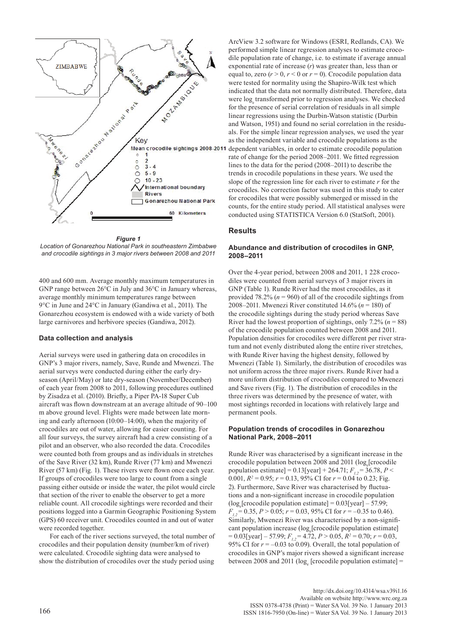

*Figure 1 Location of Gonarezhou National Park in southeastern Zimbabwe and crocodile sightings in 3 major rivers between 2008 and 2011*

400 and 600 mm. Average monthly maximum temperatures in GNP range between 26°C in July and 36°C in January whereas, average monthly minimum temperatures range between 9°C in June and 24°C in January (Gandiwa et al., 2011). The Gonarezhou ecosystem is endowed with a wide variety of both large carnivores and herbivore species (Gandiwa, 2012).

### **Data collection and analysis**

Aerial surveys were used in gathering data on crocodiles in GNP's 3 major rivers, namely, Save, Runde and Mwenezi. The aerial surveys were conducted during either the early dryseason (April/May) or late dry-season (November/December) of each year from 2008 to 2011, following procedures outlined by Zisadza et al. (2010). Briefly, a Piper PA-18 Super Cub aircraft was flown downstream at an average altitude of 90–100 m above ground level. Flights were made between late morning and early afternoon (10:00–14:00), when the majority of crocodiles are out of water, allowing for easier counting. For all four surveys, the survey aircraft had a crew consisting of a pilot and an observer, who also recorded the data. Crocodiles were counted both from groups and as individuals in stretches of the Save River (32 km), Runde River (77 km) and Mwenezi River (57 km) (Fig. 1). These rivers were flown once each year. If groups of crocodiles were too large to count from a single passing either outside or inside the water, the pilot would circle that section of the river to enable the observer to get a more reliable count. All crocodile sightings were recorded and their positions logged into a Garmin Geographic Positioning System (GPS) 60 receiver unit. Crocodiles counted in and out of water were recorded together.

For each of the river sections surveyed, the total number of crocodiles and their population density (number/km of river) were calculated. Crocodile sighting data were analysed to show the distribution of crocodiles over the study period using

ArcView 3.2 software for Windows (ESRI, Redlands, CA). We performed simple linear regression analyses to estimate crocodile population rate of change, i.e. to estimate if average annual exponential rate of increase (*r*) was greater than, less than or equal to, zero  $(r > 0, r < 0$  or  $r = 0$ ). Crocodile population data were tested for normality using the Shapiro-Wilk test which indicated that the data not normally distributed. Therefore, data were log transformed prior to regression analyses. We checked for the presence of serial correlation of residuals in all simple linear regressions using the Durbin-Watson statistic (Durbin and Watson, 1951) and found no serial correlation in the residuals. For the simple linear regression analyses, we used the year as the independent variable and crocodile populations as the dependent variables, in order to estimate crocodile population rate of change for the period 2008–2011. We fitted regression lines to the data for the period (2008–2011) to describe the trends in crocodile populations in these years. We used the slope of the regression line for each river to estimate *r* for the crocodiles. No correction factor was used in this study to cater for crocodiles that were possibly submerged or missed in the counts, for the entire study period. All statistical analyses were conducted using STATISTICA Version 6.0 (StatSoft, 2001).

#### **Results**

#### **Abundance and distribution of crocodiles in GNP, 2008–2011**

Over the 4-year period, between 2008 and 2011, 1 228 crocodiles were counted from aerial surveys of 3 major rivers in GNP (Table 1). Runde River had the most crocodiles, as it provided 78.2% ( $n = 960$ ) of all of the crocodile sightings from 2008–2011. Mwenezi River constituted 14.6% (*n* = 180) of the crocodile sightings during the study period whereas Save River had the lowest proportion of sightings, only  $7.2\%$  ( $n = 88$ ) of the crocodile population counted between 2008 and 2011. Population densities for crocodiles were different per river stratum and not evenly distributed along the entire river stretches, with Runde River having the highest density, followed by Mwenezi (Table 1). Similarly, the distribution of crocodiles was not uniform across the three major rivers. Runde River had a more uniform distribution of crocodiles compared to Mwenezi and Save rivers (Fig. 1). The distribution of crocodiles in the three rivers was determined by the presence of water, with most sightings recorded in locations with relatively large and permanent pools.

#### **Population trends of crocodiles in Gonarezhou National Park, 2008–2011**

Runde River was characterised by a significant increase in the crocodile population between 2008 and 2011 (log<sub>e</sub>[crocodile population estimate] = 0.13[year] + 264.71;  $F_1 = 36.78$ ,  $P <$ 0.001,  $R^2 = 0.95$ ;  $r = 0.13$ , 95% CI for  $r = 0.04$  to 0.23; Fig. 2). Furthermore, Save River was characterised by fluctuations and a non-significant increase in crocodile population  $(log_e[crossedile population estimate] = 0.03[year] - 57.99;$  $F_{1,2}$  = 0.35, *P* > 0.05; *r* = 0.03, 95% CI for *r* = -0.35 to 0.46). Similarly, Mwenezi River was characterised by a non-significant population increase (log<sub>e</sub>[crocodile population estimate]  $= 0.03$ [year] – 57.99;  $F_{1,2} = 4.72$ ,  $P > 0.05$ ,  $R^2 = 0.70$ ;  $r = 0.03$ , 95% CI for  $r = -0.03$  to 0.09). Overall, the total population of crocodiles in GNP's major rivers showed a significant increase between 2008 and 2011 ( $log_e$  [crocodile population estimate] =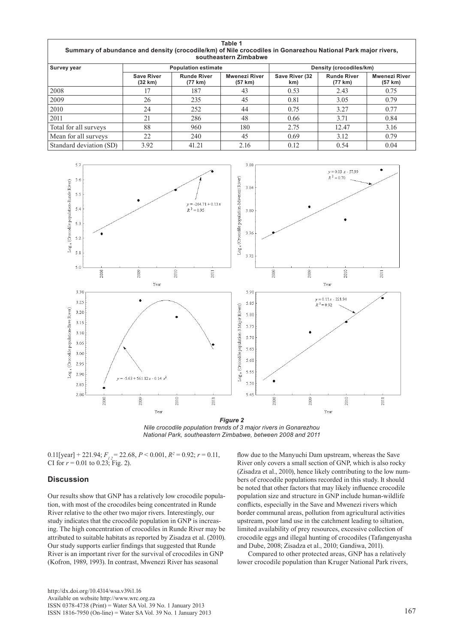| Table 1<br>Summary of abundance and density (crocodile/km) of Nile crocodiles in Gonarezhou National Park major rivers,<br>southeastern Zimbabwe |                              |                               |                                 |                         |                               |                                 |
|--------------------------------------------------------------------------------------------------------------------------------------------------|------------------------------|-------------------------------|---------------------------------|-------------------------|-------------------------------|---------------------------------|
| Survey year                                                                                                                                      | <b>Population estimate</b>   |                               |                                 | Density (crocodiles/km) |                               |                                 |
|                                                                                                                                                  | <b>Save River</b><br>(32 km) | <b>Runde River</b><br>(77 km) | <b>Mwenezi River</b><br>(57 km) | Save River (32<br>km)   | <b>Runde River</b><br>(77 km) | <b>Mwenezi River</b><br>(57 km) |
| 2008                                                                                                                                             | 17                           | 187                           | 43                              | 0.53                    | 2.43                          | 0.75                            |
| 2009                                                                                                                                             | 26                           | 235                           | 45                              | 0.81                    | 3.05                          | 0.79                            |
| 2010                                                                                                                                             | 24                           | 252                           | 44                              | 0.75                    | 3.27                          | 0.77                            |
| 2011                                                                                                                                             | 21                           | 286                           | 48                              | 0.66                    | 3.71                          | 0.84                            |
| Total for all surveys                                                                                                                            | 88                           | 960                           | 180                             | 2.75                    | 12.47                         | 3.16                            |
| Mean for all surveys                                                                                                                             | 22                           | 240                           | 45                              | 0.69                    | 3.12                          | 0.79                            |
| Standard deviation (SD)                                                                                                                          | 3.92                         | 41.21                         | 2.16                            | 0.12                    | 0.54                          | 0.04                            |



*Nile crocodile population trends of 3 major rivers in Gonarezhou National Park, southeastern Zimbabwe, between 2008 and 2011*

0.11[year] + 221.94;  $F_{12} = 22.68$ ,  $P < 0.001$ ,  $R^2 = 0.92$ ;  $r = 0.11$ , CI for  $r = 0.01$  to 0.23; Fig. 2).

#### **Discussion**

Our results show that GNP has a relatively low crocodile population, with most of the crocodiles being concentrated in Runde River relative to the other two major rivers. Interestingly, our study indicates that the crocodile population in GNP is increasing. The high concentration of crocodiles in Runde River may be attributed to suitable habitats as reported by Zisadza et al. (2010). Our study supports earlier findings that suggested that Runde River is an important river for the survival of crocodiles in GNP (Kofron, 1989, 1993). In contrast, Mwenezi River has seasonal

flow due to the Manyuchi Dam upstream, whereas the Save River only covers a small section of GNP, which is also rocky (Zisadza et al., 2010), hence likely contributing to the low numbers of crocodile populations recorded in this study. It should be noted that other factors that may likely influence crocodile population size and structure in GNP include human-wildlife conflicts, especially in the Save and Mwenezi rivers which border communal areas, pollution from agricultural activities upstream, poor land use in the catchment leading to siltation, limited availability of prey resources, excessive collection of crocodile eggs and illegal hunting of crocodiles (Tafangenyasha and Dube, 2008; Zisadza et al., 2010; Gandiwa, 2011).

Compared to other protected areas, GNP has a relatively lower crocodile population than Kruger National Park rivers,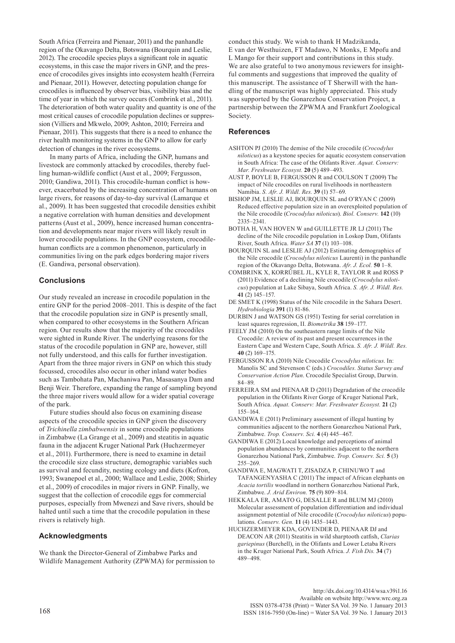South Africa (Ferreira and Pienaar, 2011) and the panhandle region of the Okavango Delta, Botswana (Bourquin and Leslie, 2012). The crocodile species plays a significant role in aquatic ecosystems, in this case the major rivers in GNP, and the presence of crocodiles gives insights into ecosystem health (Ferreira and Pienaar, 2011). However, detecting population change for crocodiles is influenced by observer bias, visibility bias and the time of year in which the survey occurs (Combrink et al., 2011). The deterioration of both water quality and quantity is one of the most critical causes of crocodile population declines or suppression (Villiers and Mkwelo, 2009; Ashton, 2010; Ferreira and Pienaar, 2011). This suggests that there is a need to enhance the river health monitoring systems in the GNP to allow for early detection of changes in the river ecosystems.

In many parts of Africa, including the GNP, humans and livestock are commonly attacked by crocodiles, thereby fuelling human-wildlife conflict (Aust et al., 2009; Fergusson, 2010; Gandiwa, 2011). This crocodile-human conflict is however, exacerbated by the increasing concentration of humans on large rivers, for reasons of day-to-day survival (Lamarque et al., 2009). It has been suggested that crocodile densities exhibit a negative correlation with human densities and development patterns (Aust et al., 2009), hence increased human concentration and developments near major rivers will likely result in lower crocodile populations. In the GNP ecosystem, crocodilehuman conflicts are a common phenomenon, particularly in communities living on the park edges bordering major rivers (E. Gandiwa, personal observation).

# **Conclusions**

Our study revealed an increase in crocodile population in the entire GNP for the period 2008–2011. This is despite of the fact that the crocodile population size in GNP is presently small, when compared to other ecosystems in the Southern African region. Our results show that the majority of the crocodiles were sighted in Runde River. The underlying reasons for the status of the crocodile population in GNP are, however, still not fully understood, and this calls for further investigation. Apart from the three major rivers in GNP on which this study focussed, crocodiles also occur in other inland water bodies such as Tambohata Pan, Machaniwa Pan, Masasanya Dam and Benji Weir. Therefore, expanding the range of sampling beyond the three major rivers would allow for a wider spatial coverage of the park.

Future studies should also focus on examining disease aspects of the crocodile species in GNP given the discovery of *Trichinella zimbabwensis* in some crocodile populations in Zimbabwe (La Grange et al., 2009) and steatitis in aquatic fauna in the adjacent Kruger National Park (Huchzermeyer et al., 2011). Furthermore, there is need to examine in detail the crocodile size class structure, demographic variables such as survival and fecundity, nesting ecology and diets (Kofron, 1993; Swanepoel et al., 2000; Wallace and Leslie, 2008; Shirley et al., 2009) of crocodiles in major rivers in GNP. Finally, we suggest that the collection of crocodile eggs for commercial purposes, especially from Mwenezi and Save rivers, should be halted until such a time that the crocodile population in these rivers is relatively high.

# **Acknowledgments**

We thank the Director-General of Zimbabwe Parks and Wildlife Management Authority (ZPWMA) for permission to conduct this study. We wish to thank H Madzikanda, E van der Westhuizen, FT Madawo, N Monks, E Mpofu and L Mango for their support and contributions in this study. We are also grateful to two anonymous reviewers for insightful comments and suggestions that improved the quality of this manuscript. The assistance of T Sherwill with the handling of the manuscript was highly appreciated. This study was supported by the Gonarezhou Conservation Project, a partnership between the ZPWMA and Frankfurt Zoological Society.

## **References**

- ASHTON PJ (2010) The demise of the Nile crocodile (*Crocodylus niloticus*) as a keystone species for aquatic ecosystem conservation in South Africa: The case of the Olifants River. *Aquat. Conserv: Mar. Freshwater Ecosyst.* **20** (5) 489–493.
- AUST P, BOYLE B, FERGUSSON R and COULSON T (2009) The impact of Nile crocodiles on rural livelihoods in northeastern Namibia. *S. Afr. J. Wildl. Res.* **39** (1) 57–69.
- BISHOP JM, LESLIE AJ, BOURQUIN SL and O'RYAN C (2009) Reduced effective population size in an overexploited population of the Nile crocodile (*Crocodylus niloticus*). *Biol. Conserv.* **142** (10) 2335–2341.
- BOTHA H, VAN HOVEN W and GUILLETTE JR LJ (2011) The decline of the Nile crocodile population in Loskop Dam, Olifants River, South Africa. *Water SA* **37** (1) 103–108.
- BOURQUIN SL and LESLIE AJ (2012) Estimating demographics of the Nile crocodile (*Crocodylus niloticus* Laurenti) in the panhandle region of the Okavango Delta, Botswana. *Afr. J. Ecol.* **50** 1–8.
- COMBRINK X, KORRÛBEL JL, KYLE R, TAYLOR R and ROSS P (2011) Evidence of a declining Nile crocodile (*Crocodylus niloticus*) population at Lake Sibaya, South Africa. *S. Afr. J. Wildl. Res.*  **41** (2) 145–157.
- DE SMET K (1998) Status of the Nile crocodile in the Sahara Desert. *Hydrobiologia* **391** (1) 81-86.
- DURBIN J and WATSON GS (1951) Testing for serial correlation in least squares regression, II. *Biometrika* **38** 159–177.
- FEELY JM (2010) On the southeastern range limits of the Nile Crocodile: A review of its past and present occurrences in the Eastern Cape and Western Cape, South Africa. *S. Afr. J. Wildl. Res.*  **40** (2) 169–175.
- FERGUSSON RA (2010) Nile Crocodile *Crocodylus niloticus*. In: Manolis SC and Stevenson C (eds.) *Crocodiles. Status Survey and Conservation Action Plan*. Crocodile Specialist Group, Darwin. 84–89.
- FERREIRA SM and PIENAAR D (2011) Degradation of the crocodile population in the Olifants River Gorge of Kruger National Park, South Africa. *Aquat. Conserv: Mar. Freshwater Ecosyst.* **21** (2) 155–164.
- GANDIWA E (2011) Preliminary assessment of illegal hunting by communities adjacent to the northern Gonarezhou National Park, Zimbabwe. *Trop. Conserv. Sci.* **4** (4) 445–467.
- GANDIWA E (2012) Local knowledge and perceptions of animal population abundances by communities adjacent to the northern Gonarezhou National Park, Zimbabwe. *Trop. Conserv. Sci.* **5** (3) 255–269.
- GANDIWA E, MAGWATI T, ZISADZA P, CHINUWO T and TAFANGENYASHA C (2011) The impact of African elephants on *Acacia tortilis* woodland in northern Gonarezhou National Park, Zimbabwe. *J. Arid Environ.* **75** (9) 809–814.
- HEKKALA ER, AMATO G, DESALLE R and BLUM MJ (2010) Molecular assessment of population differentiation and individual assignment potential of Nile crocodile (*Crocodylus niloticus*) populations. *Conserv. Gen.* **11** (4) 1435–1443.
- HUCHZERMEYER KDA, GOVENDER D, PIENAAR DJ and DEACON AR (2011) Steatitis in wild sharptooth catfish, *Clarias gariepinus* (Burchell), in the Olifants and Lower Letaba Rivers in the Kruger National Park, South Africa. *J. Fish Dis.* **34** (7) 489–498.